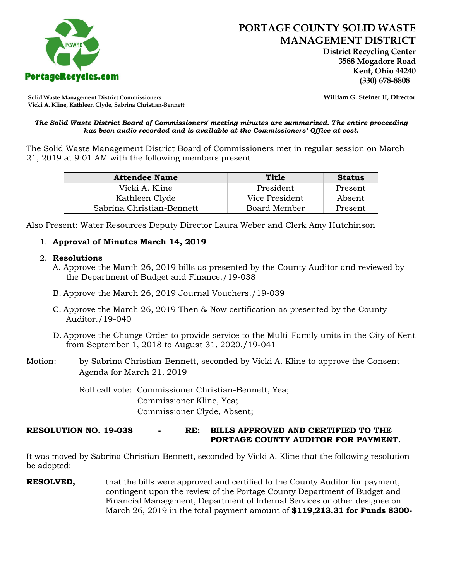

 **District Recycling Center 3588 Mogadore Road Kent, Ohio 44240**

**Solid Waste Management District Commissioners William G. Steiner II, Director Vicki A. Kline, Kathleen Clyde, Sabrina Christian-Bennett** 

#### *The Solid Waste District Board of Commissioners' meeting minutes are summarized. The entire proceeding has been audio recorded and is available at the Commissioners' Office at cost.*

The Solid Waste Management District Board of Commissioners met in regular session on March 21, 2019 at 9:01 AM with the following members present:

| <b>Attendee Name</b>      | Title          | <b>Status</b> |
|---------------------------|----------------|---------------|
| Vicki A. Kline            | President      | Present       |
| Kathleen Clyde            | Vice President | Absent        |
| Sabrina Christian-Bennett | Board Member   | Present       |

Also Present: Water Resources Deputy Director Laura Weber and Clerk Amy Hutchinson

# 1. **Approval of Minutes March 14, 2019**

### 2. **Resolutions**

- A. Approve the March 26, 2019 bills as presented by the County Auditor and reviewed by the Department of Budget and Finance./19-038
- B. Approve the March 26, 2019 Journal Vouchers./19-039
- C. Approve the March 26, 2019 Then & Now certification as presented by the County Auditor./19-040
- D. Approve the Change Order to provide service to the Multi-Family units in the City of Kent from September 1, 2018 to August 31, 2020./19-041
- Motion: by Sabrina Christian-Bennett, seconded by Vicki A. Kline to approve the Consent Agenda for March 21, 2019

Roll call vote: Commissioner Christian-Bennett, Yea; Commissioner Kline, Yea; Commissioner Clyde, Absent;

# **RESOLUTION NO. 19-038 - RE: BILLS APPROVED AND CERTIFIED TO THE PORTAGE COUNTY AUDITOR FOR PAYMENT.**

It was moved by Sabrina Christian-Bennett, seconded by Vicki A. Kline that the following resolution be adopted:

**RESOLVED,** that the bills were approved and certified to the County Auditor for payment, contingent upon the review of the Portage County Department of Budget and Financial Management, Department of Internal Services or other designee on March 26, 2019 in the total payment amount of **\$119,213.31 for Funds 8300-**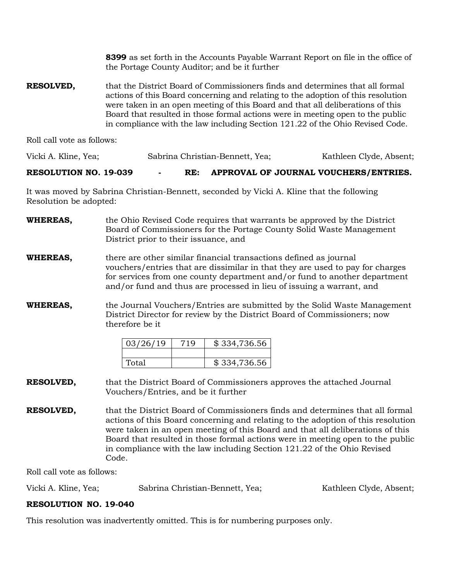**8399** as set forth in the Accounts Payable Warrant Report on file in the office of the Portage County Auditor; and be it further

**RESOLVED,** that the District Board of Commissioners finds and determines that all formal actions of this Board concerning and relating to the adoption of this resolution were taken in an open meeting of this Board and that all deliberations of this Board that resulted in those formal actions were in meeting open to the public in compliance with the law including Section 121.22 of the Ohio Revised Code.

Roll call vote as follows:

Vicki A. Kline, Yea; Sabrina Christian-Bennett, Yea; Kathleen Clyde, Absent;

### **RESOLUTION NO. 19-039 - RE: APPROVAL OF JOURNAL VOUCHERS/ENTRIES.**

It was moved by Sabrina Christian-Bennett, seconded by Vicki A. Kline that the following Resolution be adopted:

| <b>WHEREAS,</b> | the Ohio Revised Code requires that warrants be approved by the District |
|-----------------|--------------------------------------------------------------------------|
|                 | Board of Commissioners for the Portage County Solid Waste Management     |
|                 | District prior to their issuance, and                                    |
|                 |                                                                          |

**WHEREAS,** there are other similar financial transactions defined as journal vouchers/entries that are dissimilar in that they are used to pay for charges for services from one county department and/or fund to another department and/or fund and thus are processed in lieu of issuing a warrant, and

### **WHEREAS,** the Journal Vouchers/Entries are submitted by the Solid Waste Management District Director for review by the District Board of Commissioners; now therefore be it

| 03/26/19 | 719 | \$334,736.56 |
|----------|-----|--------------|
|          |     |              |
| Total    |     | \$334,736.56 |

### **RESOLVED,** that the District Board of Commissioners approves the attached Journal Vouchers/Entries, and be it further

**RESOLVED,** that the District Board of Commissioners finds and determines that all formal actions of this Board concerning and relating to the adoption of this resolution were taken in an open meeting of this Board and that all deliberations of this Board that resulted in those formal actions were in meeting open to the public in compliance with the law including Section 121.22 of the Ohio Revised Code.

Roll call vote as follows:

| Vicki A. Kline, Yea; | Sabrina Christian-Bennett, Yea; | Kathleen Clyde, Absent; |
|----------------------|---------------------------------|-------------------------|
|----------------------|---------------------------------|-------------------------|

# **RESOLUTION NO. 19-040**

This resolution was inadvertently omitted. This is for numbering purposes only.